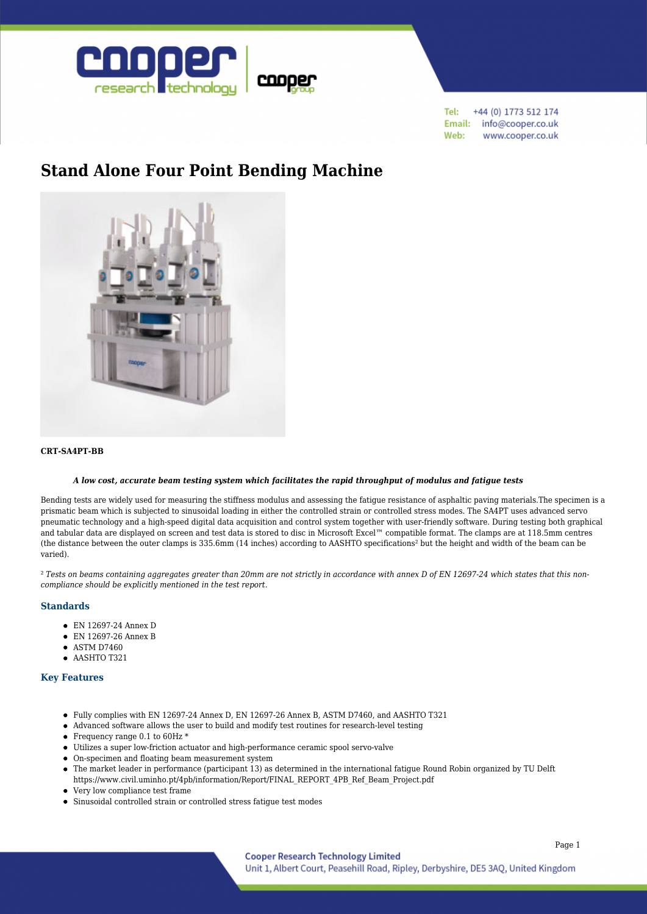

+44 (0) 1773 512 174 Tel: Email: info@cooper.co.uk Web: www.cooper.co.uk

# **[Stand Alone Four Point Bending Machine](https://www.cooper.co.uk/shop/asphalt-testing/bending-beam-testing/stand-alone-four-point-bending-machine/)**



## **CRT-SA4PT-BB**

#### *A low cost, accurate beam testing system which facilitates the rapid throughput of modulus and fatigue tests*

Bending tests are widely used for measuring the stiffness modulus and assessing the fatigue resistance of asphaltic paving materials.The specimen is a prismatic beam which is subjected to sinusoidal loading in either the controlled strain or controlled stress modes. The SA4PT uses advanced servo pneumatic technology and a high-speed digital data acquisition and control system together with user-friendly software. During testing both graphical and tabular data are displayed on screen and test data is stored to disc in Microsoft Excel™ compatible format. The clamps are at 118.5mm centres (the distance between the outer clamps is 335.6mm (14 inches) according to AASHTO specifications² but the height and width of the beam can be varied).

<sup>2</sup> Tests on beams containing aggregates greater than 20mm are not strictly in accordance with annex D of EN 12697-24 which states that this non*compliance should be explicitly mentioned in the test report.*

### **Standards**

- EN 12697-24 Annex D
- EN 12697-26 Annex B
- $\bullet$  ASTM D7460
- $\bullet$  AASHTO T321

### **Key Features**

- Fully complies with EN 12697-24 Annex D, EN 12697-26 Annex B, ASTM D7460, and AASHTO T321
- Advanced software allows the user to build and modify test routines for research-level testing
- Frequency range 0.1 to 60Hz \*
- Utilizes a super low-friction actuator and high-performance ceramic spool servo-valve
- On-specimen and floating beam measurement system
- The market leader in performance (participant 13) as determined in the international fatigue Round Robin organized by TU Delft https://www.civil.uminho.pt/4pb/information/Report/FINAL\_REPORT\_4PB\_Ref\_Beam\_Project.pdf
- Very low compliance test frame
- Sinusoidal controlled strain or controlled stress fatigue test modes

Page 1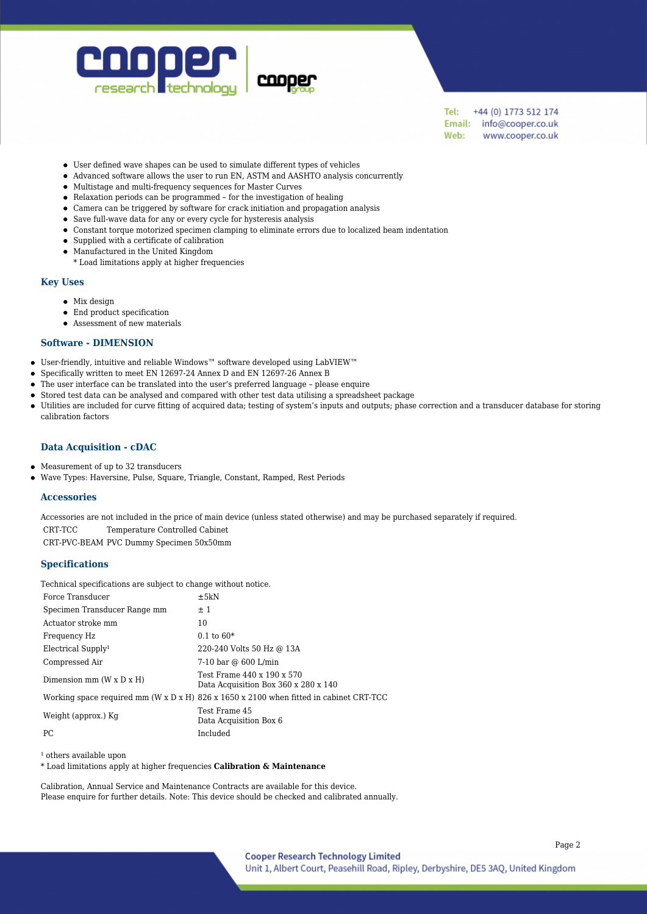

+44 (0) 1773 512 174 Tel: Email: info@cooper.co.uk Web: www.cooper.co.uk

- User defined wave shapes can be used to simulate different types of vehicles
- Advanced software allows the user to run EN, ASTM and AASHTO analysis concurrently
- Multistage and multi-frequency sequences for Master Curves
- Relaxation periods can be programmed for the investigation of healing
- Camera can be triggered by software for crack initiation and propagation analysis
- Save full-wave data for any or every cycle for hysteresis analysis
- Constant torque motorized specimen clamping to eliminate errors due to localized beam indentation
- Supplied with a certificate of calibration
- Manufactured in the United Kingdom
- \* Load limitations apply at higher frequencies

### **Key Uses**

 $\bullet$ 

- Mix design
- End product specification
- Assessment of new materials

#### **Software - DIMENSION**

- User-friendly, intuitive and reliable Windows™ software developed using LabVIEW™
- Specifically written to meet EN 12697-24 Annex D and EN 12697-26 Annex B  $\bullet$
- The user interface can be translated into the user's preferred language please enquire  $\bullet$ 
	- Stored test data can be analysed and compared with other test data utilising a spreadsheet package
- Utilities are included for curve fitting of acquired data; testing of system's inputs and outputs; phase correction and a transducer database for storing  $\bullet$ calibration factors

## **Data Acquisition - cDAC**

- Measurement of up to 32 transducers  $\bullet$
- Wave Types: Haversine, Pulse, Square, Triangle, Constant, Ramped, Rest Periods  $\bullet$

## **Accessories**

Accessories are not included in the price of main device (unless stated otherwise) and may be purchased separately if required. CRT-TCC Temperature Controlled Cabinet CRT-PVC-BEAM PVC Dummy Specimen 50x50mm

## **Specifications**

Technical specifications are subject to change without notice.

| Force Transducer                     | $\pm 5kN$                                                                                          |
|--------------------------------------|----------------------------------------------------------------------------------------------------|
| Specimen Transducer Range mm         | ±1                                                                                                 |
| Actuator stroke mm                   | 10                                                                                                 |
| Frequency Hz                         | $0.1 \text{ to } 60^*$                                                                             |
| Electrical Supply <sup>1</sup>       | 220-240 Volts 50 Hz @ 13A                                                                          |
| Compressed Air                       | 7-10 bar @ 600 L/min                                                                               |
| Dimension mm $(W \times D \times H)$ | Test Frame 440 x 190 x 570<br>Data Acquisition Box 360 x 280 x 140                                 |
|                                      | Working space required mm (W x D x H) $826 \times 1650 \times 2100$ when fitted in cabinet CRT-TCC |
| Weight (approx.) Kg                  | Test Frame 45<br>Data Acquisition Box 6                                                            |
| PC.                                  | Included                                                                                           |

<sup>1</sup> others available upon

\* Load limitations apply at higher frequencies **Calibration & Maintenance**

Calibration, Annual Service and Maintenance Contracts are available for this device. Please enquire for further details. Note: This device should be checked and calibrated annually.